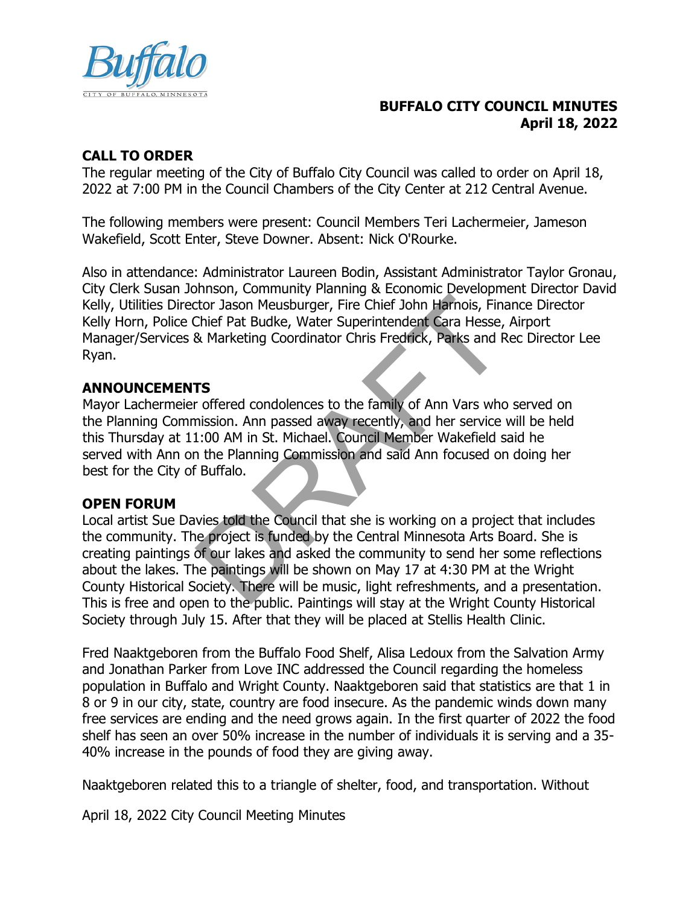

### **BUFFALO CITY COUNCIL MINUTES April 18, 2022**

### **CALL TO ORDER**

The regular meeting of the City of Buffalo City Council was called to order on April 18, 2022 at 7:00 PM in the Council Chambers of the City Center at 212 Central Avenue.

The following members were present: Council Members Teri Lachermeier, Jameson Wakefield, Scott Enter, Steve Downer. Absent: Nick O'Rourke.

Also in attendance: Administrator Laureen Bodin, Assistant Administrator Taylor Gronau, City Clerk Susan Johnson, Community Planning & Economic Development Director David Kelly, Utilities Director Jason Meusburger, Fire Chief John Harnois, Finance Director Kelly Horn, Police Chief Pat Budke, Water Superintendent Cara Hesse, Airport Manager/Services & Marketing Coordinator Chris Fredrick, Parks and Rec Director Lee Ryan.

### **ANNOUNCEMENTS**

Mayor Lachermeier offered condolences to the family of Ann Vars who served on the Planning Commission. Ann passed away recently, and her service will be held this Thursday at 11:00 AM in St. Michael. Council Member Wakefield said he served with Ann on the Planning Commission and said Ann focused on doing her best for the City of Buffalo.

### **OPEN FORUM**

Local artist Sue Davies told the Council that she is working on a project that includes the community. The project is funded by the Central Minnesota Arts Board. She is creating paintings of our lakes and asked the community to send her some reflections about the lakes. The paintings will be shown on May 17 at 4:30 PM at the Wright County Historical Society. There will be music, light refreshments, and a presentation. This is free and open to the public. Paintings will stay at the Wright County Historical Society through July 15. After that they will be placed at Stellis Health Clinic. the Tason Meusburger, Fire Chief John Harnois, Final<br>Chief Pat Budke, Water Superintendent Cara Hesse,<br>R. Marketing Coordinator Chris Fredrick, Parks and F<br>R. Marketing Coordinator Chris Fredrick, Parks and F<br>TS<br>TS<br>TS<br>TS<br>T

Fred Naaktgeboren from the Buffalo Food Shelf, Alisa Ledoux from the Salvation Army and Jonathan Parker from Love INC addressed the Council regarding the homeless population in Buffalo and Wright County. Naaktgeboren said that statistics are that 1 in 8 or 9 in our city, state, country are food insecure. As the pandemic winds down many free services are ending and the need grows again. In the first quarter of 2022 the food shelf has seen an over 50% increase in the number of individuals it is serving and a 35- 40% increase in the pounds of food they are giving away.

Naaktgeboren related this to a triangle of shelter, food, and transportation. Without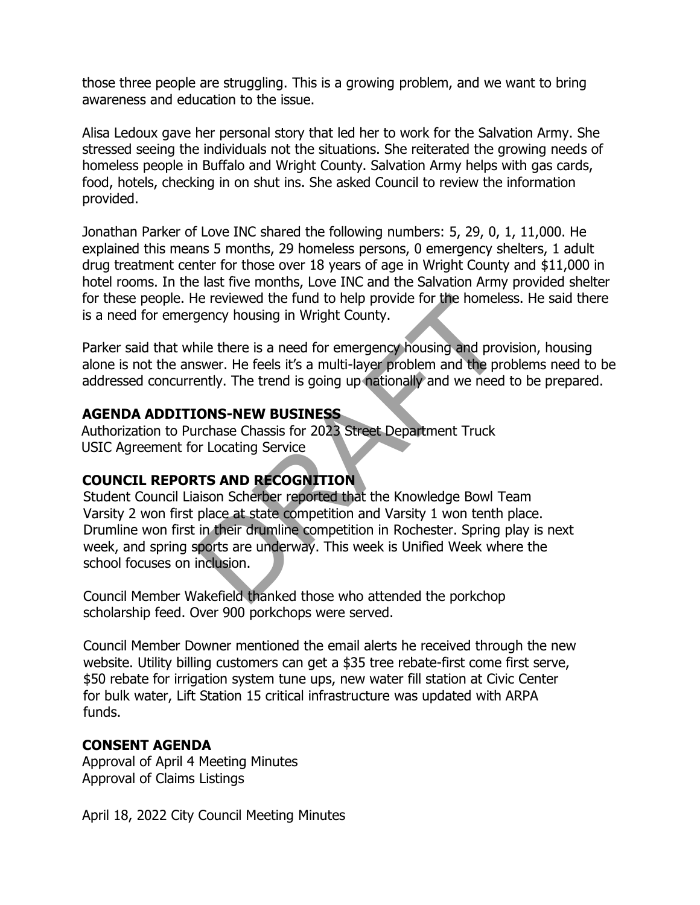those three people are struggling. This is a growing problem, and we want to bring awareness and education to the issue.

Alisa Ledoux gave her personal story that led her to work for the Salvation Army. She stressed seeing the individuals not the situations. She reiterated the growing needs of homeless people in Buffalo and Wright County. Salvation Army helps with gas cards, food, hotels, checking in on shut ins. She asked Council to review the information provided.

Jonathan Parker of Love INC shared the following numbers: 5, 29, 0, 1, 11,000. He explained this means 5 months, 29 homeless persons, 0 emergency shelters, 1 adult drug treatment center for those over 18 years of age in Wright County and \$11,000 in hotel rooms. In the last five months, Love INC and the Salvation Army provided shelter for these people. He reviewed the fund to help provide for the homeless. He said there is a need for emergency housing in Wright County.

Parker said that while there is a need for emergency housing and provision, housing alone is not the answer. He feels it's a multi-layer problem and the problems need to be addressed concurrently. The trend is going up nationally and we need to be prepared.

#### **AGENDA ADDITIONS-NEW BUSINESS**

Authorization to Purchase Chassis for 2023 Street Department Truck USIC Agreement for Locating Service

### **COUNCIL REPORTS AND RECOGNITION**

Student Council Liaison Scherber reported that the Knowledge Bowl Team Varsity 2 won first place at state competition and Varsity 1 won tenth place. Drumline won first in their drumline competition in Rochester. Spring play is next week, and spring sports are underway. This week is Unified Week where the school focuses on inclusion. He reviewed the fund to help provide for the homele<br>gency housing in Wright County.<br>ille there is a need for emergency housing and prov<br>swer. He feels it's a multi-layer problem and the pre<br>ently. The trend is going up nat

Council Member Wakefield thanked those who attended the porkchop scholarship feed. Over 900 porkchops were served.

Council Member Downer mentioned the email alerts he received through the new website. Utility billing customers can get a \$35 tree rebate-first come first serve, \$50 rebate for irrigation system tune ups, new water fill station at Civic Center for bulk water, Lift Station 15 critical infrastructure was updated with ARPA funds.

### **CONSENT AGENDA**

Approval of April 4 Meeting Minutes Approval of Claims Listings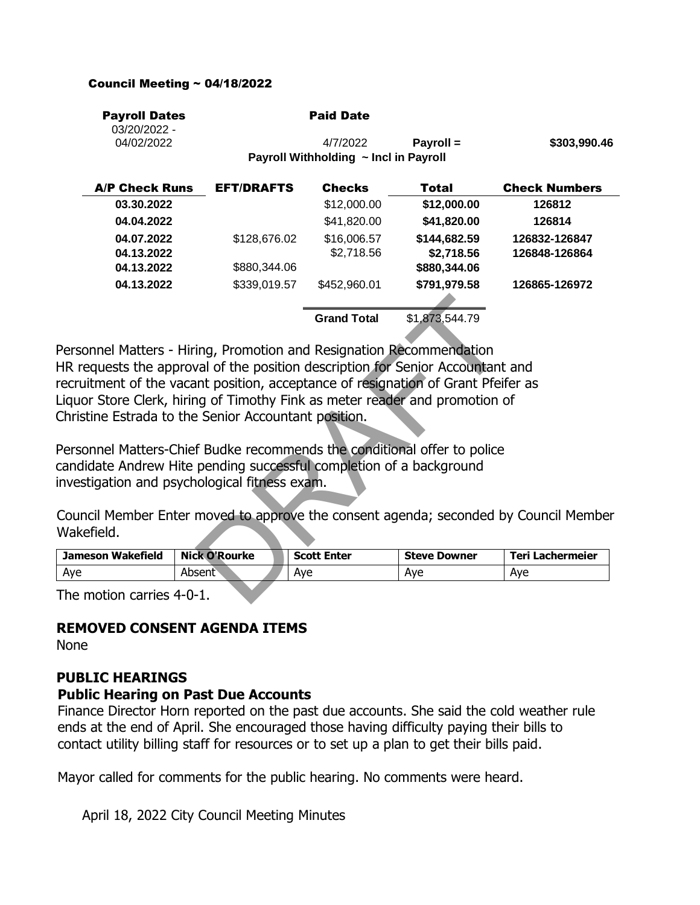#### Council Meeting ~ 04/18/2022

| <b>Payroll Dates</b><br>03/20/2022 - |                   | <b>Paid Date</b>                      |                |                      |
|--------------------------------------|-------------------|---------------------------------------|----------------|----------------------|
| 04/02/2022                           |                   | 4/7/2022                              | Payroll =      | \$303,990.46         |
|                                      |                   | Payroll Withholding ~ Incl in Payroll |                |                      |
| <b>A/P Check Runs</b>                | <b>EFT/DRAFTS</b> | <b>Checks</b>                         | Total          | <b>Check Numbers</b> |
| 03.30.2022                           |                   | \$12,000.00                           | \$12,000.00    | 126812               |
| 04.04.2022                           |                   | \$41,820.00                           | \$41,820.00    | 126814               |
| 04.07.2022                           | \$128,676.02      | \$16,006.57                           | \$144,682.59   | 126832-126847        |
| 04.13.2022                           |                   | \$2,718.56                            | \$2,718.56     | 126848-126864        |
| 04.13.2022                           | \$880,344.06      |                                       | \$880,344.06   |                      |
| 04.13.2022                           | \$339,019.57      | \$452,960.01                          | \$791,979.58   | 126865-126972        |
|                                      |                   | <b>Grand Total</b>                    | \$1,873,544.79 |                      |

Personnel Matters - Hiring, Promotion and Resignation Recommendation HR requests the approval of the position description for Senior Accountant and recruitment of the vacant position, acceptance of resignation of Grant Pfeifer as Liquor Store Clerk, hiring of Timothy Fink as meter reader and promotion of Christine Estrada to the Senior Accountant position. Grand Total \$1,873,544.79<br>
ing, Promotion and Resignation Recommendation<br>
val of the position description for Senior Accountant<br>
and position, acceptance of resignation of Grant Pfeil<br>
ing of Timothy Fink as meter reader a

Personnel Matters-Chief Budke recommends the conditional offer to police candidate Andrew Hite pending successful completion of a background investigation and psychological fitness exam.

Council Member Enter moved to approve the consent agenda; seconded by Council Member Wakefield.

| Jameson Wakefield | <b>Nick O'Rourke</b> | <b>Scott Enter</b> | <b>Steve Downer</b> | Teri I<br>. Lachermeier |
|-------------------|----------------------|--------------------|---------------------|-------------------------|
| Ave               | Absent               | Ave                | Ave                 | Ave                     |

The motion carries 4-0-1.

### **REMOVED CONSENT AGENDA ITEMS**

None

### **PUBLIC HEARINGS**

#### 8(1) **Public Hearing on Past Due Accounts**

Finance Director Horn reported on the past due accounts. She said the cold weather rule ends at the end of April. She encouraged those having difficulty paying their bills to contact utility billing staff for resources or to set up a plan to get their bills paid.

Mayor called for comments for the public hearing. No comments were heard.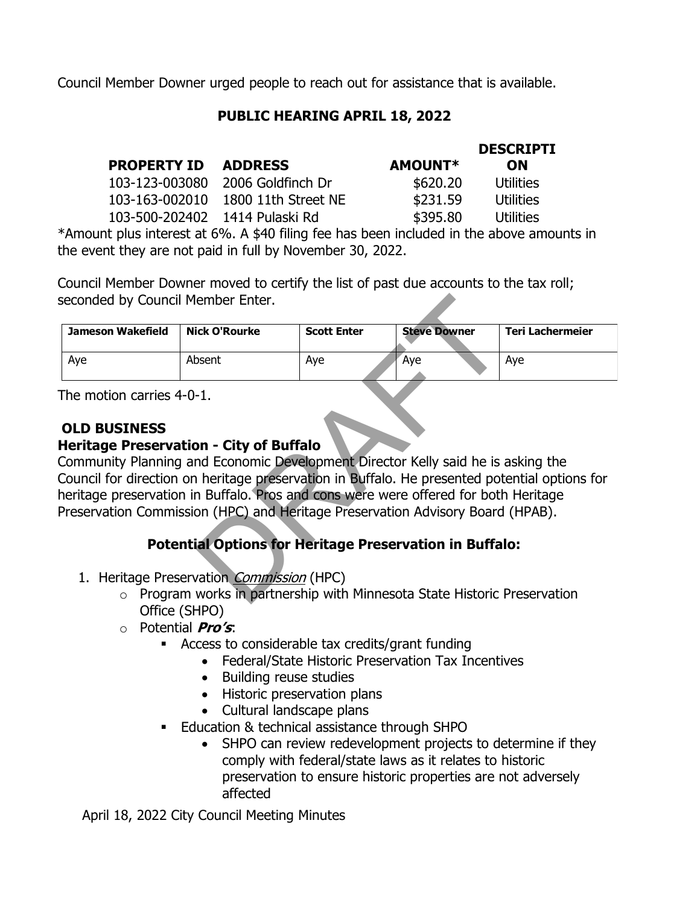Council Member Downer urged people to reach out for assistance that is available.

### **PUBLIC HEARING APRIL 18, 2022**

|                                |                     |                | <b>DESCRIPTI</b> |
|--------------------------------|---------------------|----------------|------------------|
| <b>PROPERTY ID</b>             | <b>ADDRESS</b>      | <b>AMOUNT*</b> | <b>ON</b>        |
| 103-123-003080                 | 2006 Goldfinch Dr   | \$620.20       | Utilities        |
| 103-163-002010                 | 1800 11th Street NE | \$231.59       | <b>Utilities</b> |
| 103-500-202402 1414 Pulaski Rd |                     | \$395.80       | <b>Utilities</b> |
|                                |                     |                |                  |

\*Amount plus interest at 6%. A \$40 filing fee has been included in the above amounts in the event they are not paid in full by November 30, 2022.

Council Member Downer moved to certify the list of past due accounts to the tax roll; seconded by Council Member Enter.

| Jameson Wakefield | Nick O'Rourke | <b>Scott Enter</b> | <b>Steve Downer</b> | Teri Lachermeier |
|-------------------|---------------|--------------------|---------------------|------------------|
| Aye               | Absent        | Aye                | Ave                 | Aye              |

The motion carries 4-0-1.

### **OLD BUSINESS**

### 9(1) **Heritage Preservation - City of Buffalo**

Community Planning and Economic Development Director Kelly said he is asking the Council for direction on heritage preservation in Buffalo. He presented potential options for heritage preservation in Buffalo. Pros and cons were were offered for both Heritage Preservation Commission (HPC) and Heritage Preservation Advisory Board (HPAB). Finance Enter.<br>
Scott Enter Steve Downer<br>
Steve Downer<br>
Steve Downer<br>
Steve Downer<br>
Don-<br>
-1.<br>
Don-City of Buffalo<br>
In Buffalo.<br>
The Development Director Kelly said he is a<br>
in heritage preservation in Buffalo.<br>
Heritage P

## **Potential Options for Heritage Preservation in Buffalo:**

- 1. Heritage Preservation Commission (HPC)
	- o Program works in partnership with Minnesota State Historic Preservation Office (SHPO)
	- o Potential **Pro's**:
		- Access to considerable tax credits/grant funding
			- Federal/State Historic Preservation Tax Incentives
			- Building reuse studies
			- Historic preservation plans
			- Cultural landscape plans
		- Education & technical assistance through SHPO
			- SHPO can review redevelopment projects to determine if they comply with federal/state laws as it relates to historic preservation to ensure historic properties are not adversely affected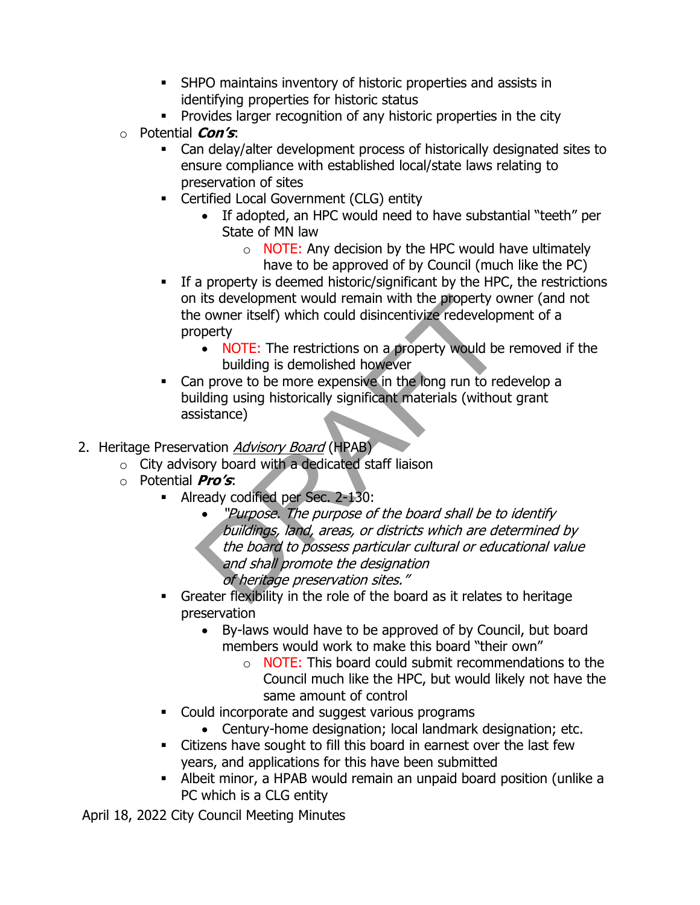- **EXECUTE:** SHPO maintains inventory of historic properties and assists in identifying properties for historic status
- **•** Provides larger recognition of any historic properties in the city
- o Potential **Con's**:
	- Can delay/alter development process of historically designated sites to ensure compliance with established local/state laws relating to preservation of sites
	- **EXEC** Certified Local Government (CLG) entity
		- If adopted, an HPC would need to have substantial "teeth" per State of MN law
			- $\circ$  NOTE: Any decision by the HPC would have ultimately have to be approved of by Council (much like the PC)
	- **EXPLEM** If a property is deemed historic/significant by the HPC, the restrictions on its development would remain with the property owner (and not the owner itself) which could disincentivize redevelopment of a property
		- NOTE: The restrictions on a property would be removed if the building is demolished however
	- Can prove to be more expensive in the long run to redevelop a building using historically significant materials (without grant assistance)
- 2. Heritage Preservation Advisory Board (HPAB)
	- $\circ$  City advisory board with a dedicated staff liaison
	- o Potential **Pro's**:
		- **EXEC** Already codified per Sec. 2-130:
- "Purpose. The purpose of the board shall be to identify buildings, land, areas, or districts which are determined by the board to possess particular cultural or educational value and shall promote the designation of heritage preservation sites." The property<br>
its development would remain with the property over<br>
e owner itself) which could disincentivize redevelopr<br>
operty<br>
• NOTE: The restrictions on a property would be<br>
building is demolished however<br>
in prove to
	- Greater flexibility in the role of the board as it relates to heritage preservation
		- By-laws would have to be approved of by Council, but board members would work to make this board "their own"
			- $\circ$  NOTE: This board could submit recommendations to the Council much like the HPC, but would likely not have the same amount of control
	- Could incorporate and suggest various programs
		- Century-home designation; local landmark designation; etc.
	- Citizens have sought to fill this board in earnest over the last few years, and applications for this have been submitted
	- Albeit minor, a HPAB would remain an unpaid board position (unlike a PC which is a CLG entity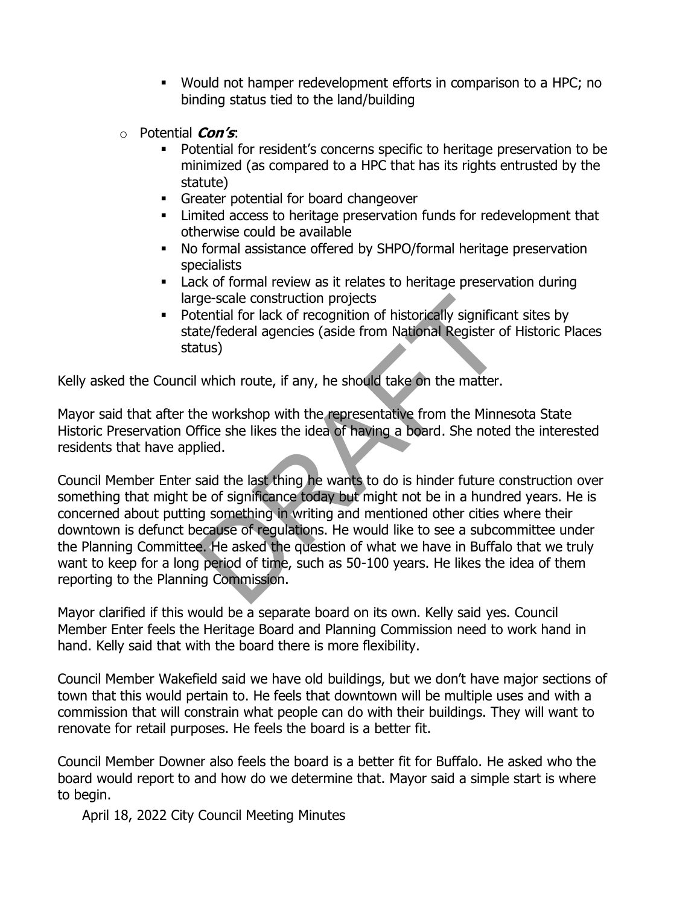- Would not hamper redevelopment efforts in comparison to a HPC; no binding status tied to the land/building
- o Potential **Con's**:
	- Potential for resident's concerns specific to heritage preservation to be minimized (as compared to a HPC that has its rights entrusted by the statute)
	- **•** Greater potential for board changeover
	- **EXECO EXECOCES** to heritage preservation funds for redevelopment that otherwise could be available
	- No formal assistance offered by SHPO/formal heritage preservation specialists
	- Lack of formal review as it relates to heritage preservation during large-scale construction projects
	- **•** Potential for lack of recognition of historically significant sites by state/federal agencies (aside from National Register of Historic Places status)

Kelly asked the Council which route, if any, he should take on the matter.

Mayor said that after the workshop with the representative from the Minnesota State Historic Preservation Office she likes the idea of having a board. She noted the interested residents that have applied.

Council Member Enter said the last thing he wants to do is hinder future construction over something that might be of significance today but might not be in a hundred years. He is concerned about putting something in writing and mentioned other cities where their downtown is defunct because of regulations. He would like to see a subcommittee under the Planning Committee. He asked the question of what we have in Buffalo that we truly want to keep for a long period of time, such as 50-100 years. He likes the idea of them reporting to the Planning Commission. re-scale construction projects<br>tential for lack of recognition of historically significa<br>ate/federal agencies (aside from National Register o<br>atus)<br>I which route, if any, he should take on the matter.<br>he workshop with the

Mayor clarified if this would be a separate board on its own. Kelly said yes. Council Member Enter feels the Heritage Board and Planning Commission need to work hand in hand. Kelly said that with the board there is more flexibility.

Council Member Wakefield said we have old buildings, but we don't have major sections of town that this would pertain to. He feels that downtown will be multiple uses and with a commission that will constrain what people can do with their buildings. They will want to renovate for retail purposes. He feels the board is a better fit.

Council Member Downer also feels the board is a better fit for Buffalo. He asked who the board would report to and how do we determine that. Mayor said a simple start is where to begin.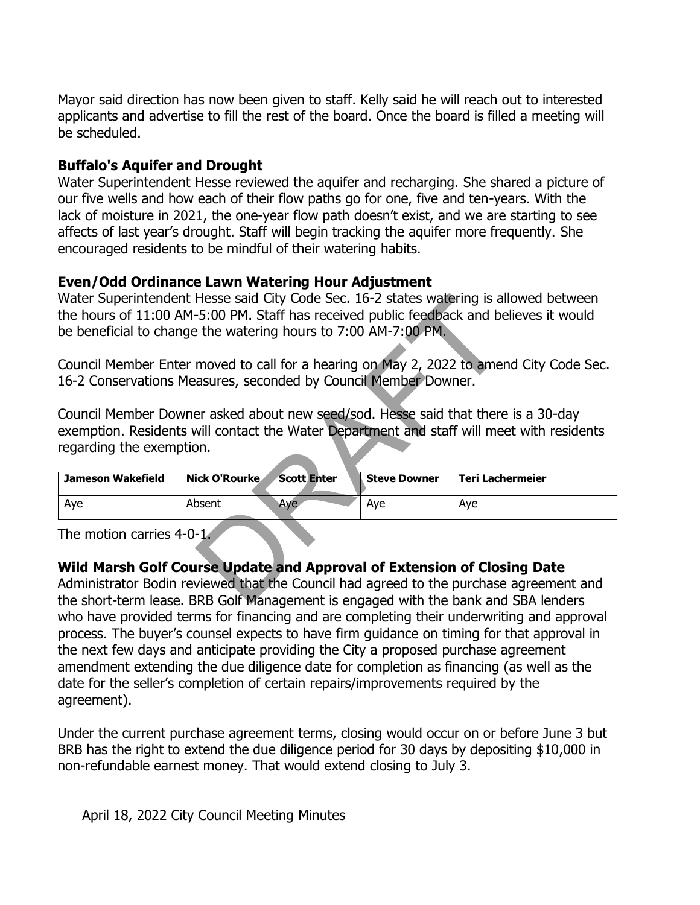Mayor said direction has now been given to staff. Kelly said he will reach out to interested applicants and advertise to fill the rest of the board. Once the board is filled a meeting will be scheduled.

### 9(2) **Buffalo's Aquifer and Drought**

Water Superintendent Hesse reviewed the aquifer and recharging. She shared a picture of our five wells and how each of their flow paths go for one, five and ten-years. With the lack of moisture in 2021, the one-year flow path doesn't exist, and we are starting to see affects of last year's drought. Staff will begin tracking the aquifer more frequently. She encouraged residents to be mindful of their watering habits.

### 9(3) **Even/Odd Ordinance Lawn Watering Hour Adjustment**

Water Superintendent Hesse said City Code Sec. 16-2 states watering is allowed between the hours of 11:00 AM-5:00 PM. Staff has received public feedback and believes it would be beneficial to change the watering hours to 7:00 AM-7:00 PM.

| be beneficial to change the watering hours to 7:00 AM-7:00 PM.          |               |                    |                     | Water Superintendent Hesse said City Code Sec. 16-2 states watering is allowed between<br>the hours of 11:00 AM-5:00 PM. Staff has received public feedback and believes it would |
|-------------------------------------------------------------------------|---------------|--------------------|---------------------|-----------------------------------------------------------------------------------------------------------------------------------------------------------------------------------|
|                                                                         |               |                    |                     | Council Member Enter moved to call for a hearing on May 2, 2022 to amend City Code Sec.                                                                                           |
| 16-2 Conservations Measures, seconded by Council Member Downer.         |               |                    |                     |                                                                                                                                                                                   |
| regarding the exemption.                                                |               |                    |                     | Council Member Downer asked about new seed/sod. Hesse said that there is a 30-day<br>exemption. Residents will contact the Water Department and staff will meet with residents    |
| <b>Jameson Wakefield</b>                                                | Nick O'Rourke | <b>Scott Enter</b> | <b>Steve Downer</b> | <b>Teri Lachermeier</b>                                                                                                                                                           |
| Aye                                                                     | Absent        | Aye                | Aye                 | Aye                                                                                                                                                                               |
| The motion carries 4-0-1.                                               |               |                    |                     |                                                                                                                                                                                   |
| Wild Marsh Golf Course Update and Approval of Extension of Closing Date |               |                    |                     | Administrator Bodin reviewed that the Council had agreed to the purchase agreement and<br>the short-term lease. BRB Golf Management is engaged with the bank and SBA lenders      |

### 9(4) **Wild Marsh Golf Course Update and Approval of Extension of Closing Date**

Administrator Bodin reviewed that the Council had agreed to the purchase agreement and the short-term lease. BRB Golf Management is engaged with the bank and SBA lenders who have provided terms for financing and are completing their underwriting and approval process. The buyer's counsel expects to have firm guidance on timing for that approval in the next few days and anticipate providing the City a proposed purchase agreement amendment extending the due diligence date for completion as financing (as well as the date for the seller's completion of certain repairs/improvements required by the agreement).

Under the current purchase agreement terms, closing would occur on or before June 3 but BRB has the right to extend the due diligence period for 30 days by depositing \$10,000 in non-refundable earnest money. That would extend closing to July 3.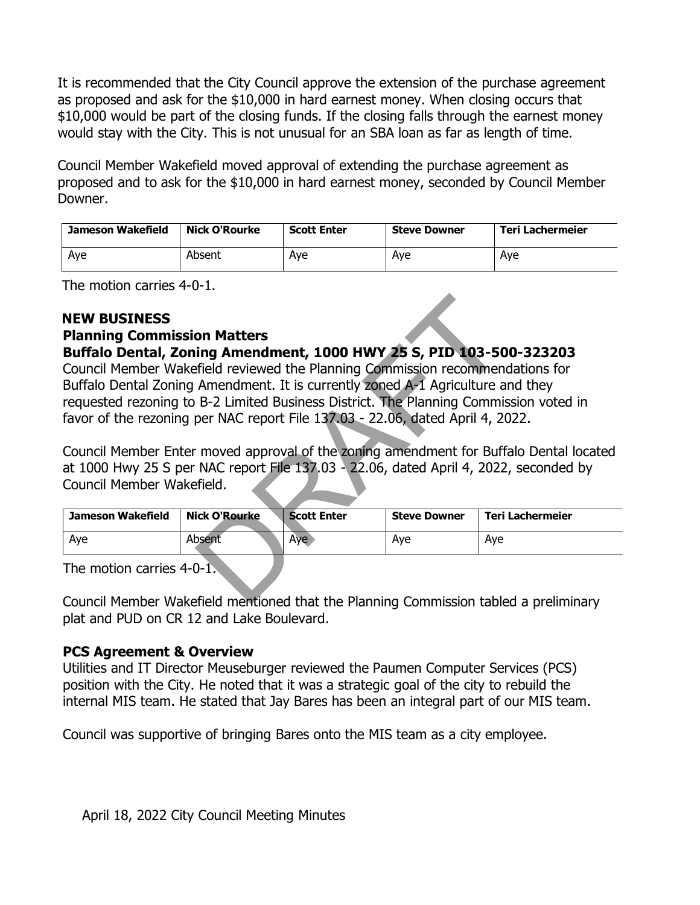It is recommended that the City Council approve the extension of the purchase agreement as proposed and ask for the \$10,000 in hard earnest money. When closing occurs that \$10,000 would be part of the closing funds. If the closing falls through the earnest money would stay with the City. This is not unusual for an SBA loan as far as length of time.

Council Member Wakefield moved approval of extending the purchase agreement as proposed and to ask for the \$10,000 in hard earnest money, seconded by Council Member Downer.

| Jameson Wakefield | Nick O'Rourke | <b>Scott Enter</b> | <b>Steve Downer</b> | Teri Lachermeier |
|-------------------|---------------|--------------------|---------------------|------------------|
| Aye               | Absent        | Ave                | Ave                 | Ave              |

The motion carries 4-0-1.

### **NEW BUSINESS**

# **Planning Commission Matters**

### **Buffalo Dental, Zoning Amendment, 1000 HWY 25 S, PID 103-500-323203**

Council Member Wakefield reviewed the Planning Commission recommendations for Buffalo Dental Zoning Amendment. It is currently zoned A-1 Agriculture and they requested rezoning to B-2 Limited Business District. The Planning Commission voted in favor of the rezoning per NAC report File 137.03 - 22.06, dated April 4, 2022. on Matters<br>
ing Amendment, 1000 HWY 25 S, PID 103-50<br>
frield reviewed the Planning Commission recommen<br>
Amendment. It is currently zoned A-1 Agriculture a<br>
B-2 Limited Business District. The Planning Commis<br>
per NAC report

Council Member Enter moved approval of the zoning amendment for Buffalo Dental located at 1000 Hwy 25 S per NAC report File 137.03 - 22.06, dated April 4, 2022, seconded by Council Member Wakefield.

| <b>Jameson Wakefield</b> | Nick O'Rourke | <b>Scott Enter</b> | <b>Steve Downer</b> | Teri Lachermeier |
|--------------------------|---------------|--------------------|---------------------|------------------|
| Aye                      | Absent        | Aye                | Ave                 | Ave              |

The motion carries 4-0-1.

Council Member Wakefield mentioned that the Planning Commission tabled a preliminary plat and PUD on CR 12 and Lake Boulevard.

### **PCS Agreement & Overview**

Utilities and IT Director Meuseburger reviewed the Paumen Computer Services (PCS) position with the City. He noted that it was a strategic goal of the city to rebuild the internal MIS team. He stated that Jay Bares has been an integral part of our MIS team.

Council was supportive of bringing Bares onto the MIS team as a city employee.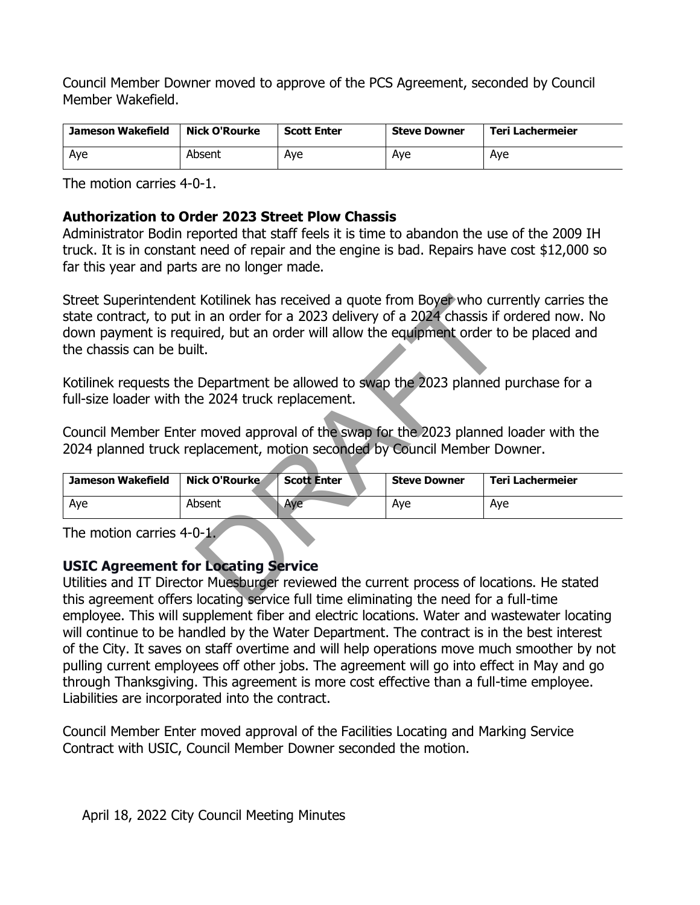Council Member Downer moved to approve of the PCS Agreement, seconded by Council Member Wakefield.

| Jameson Wakefield | Nick O'Rourke | <b>Scott Enter</b> | <b>Steve Downer</b> | Teri Lachermeier |
|-------------------|---------------|--------------------|---------------------|------------------|
| Aye               | Absent        | Aye                | Ave                 | Ave              |

The motion carries 4-0-1.

### 10(3) **Authorization to Order 2023 Street Plow Chassis**

Administrator Bodin reported that staff feels it is time to abandon the use of the 2009 IH truck. It is in constant need of repair and the engine is bad. Repairs have cost \$12,000 so far this year and parts are no longer made.

Street Superintendent Kotilinek has received a quote from Boyer who currently carries the state contract, to put in an order for a 2023 delivery of a 2024 chassis if ordered now. No down payment is required, but an order will allow the equipment order to be placed and the chassis can be built. Example In an order for a 2023 delivery of a 2024 chassis if a<br>ired, but an order will allow the equipment order to<br>iired, but an order will allow the equipment order to<br>ilt.<br>Department be allowed to swap the 2023 planned<br>

Kotilinek requests the Department be allowed to swap the 2023 planned purchase for a full-size loader with the 2024 truck replacement.

Council Member Enter moved approval of the swap for the 2023 planned loader with the 2024 planned truck replacement, motion seconded by Council Member Downer.

| Jameson Wakefield | Nick O'Rourke | <b>Scott Enter</b> | <b>Steve Downer</b> | Teri Lachermeier |
|-------------------|---------------|--------------------|---------------------|------------------|
| Aye               | Absent        | Aye                | Aye                 | Ave              |

The motion carries 4-0-1.

### **USIC Agreement for Locating Service**

Utilities and IT Director Muesburger reviewed the current process of locations. He stated this agreement offers locating service full time eliminating the need for a full-time employee. This will supplement fiber and electric locations. Water and wastewater locating will continue to be handled by the Water Department. The contract is in the best interest of the City. It saves on staff overtime and will help operations move much smoother by not pulling current employees off other jobs. The agreement will go into effect in May and go through Thanksgiving. This agreement is more cost effective than a full-time employee. Liabilities are incorporated into the contract.

Council Member Enter moved approval of the Facilities Locating and Marking Service Contract with USIC, Council Member Downer seconded the motion.